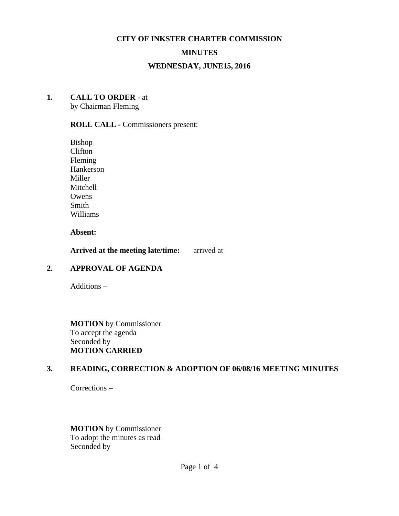#### **CITY OF INKSTER CHARTER COMMISSION**

### **MINUTES**

#### **WEDNESDAY, JUNE15, 2016**

#### **1. CALL TO ORDER** - at

by Chairman Fleming

# **ROLL CALL -** Commissioners present:

Bishop Clifton Fleming Hankerson Miller Mitchell Owens Smith Williams

**Absent:**

**Arrived at the meeting late/time:** arrived at

# **2. APPROVAL OF AGENDA**

Additions –

**MOTION** by Commissioner To accept the agenda Seconded by **MOTION CARRIED**

#### **3. READING, CORRECTION & ADOPTION OF 06/08/16 MEETING MINUTES**

Corrections –

**MOTION** by Commissioner To adopt the minutes as read Seconded by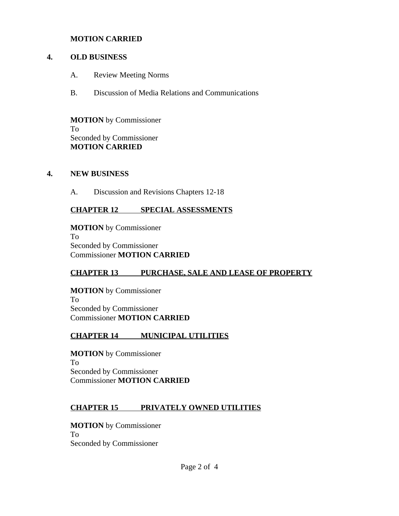#### **MOTION CARRIED**

### **4. OLD BUSINESS**

- A. Review Meeting Norms
- B. Discussion of Media Relations and Communications

**MOTION** by Commissioner To Seconded by Commissioner **MOTION CARRIED**

### **4. NEW BUSINESS**

A. Discussion and Revisions Chapters 12-18

# **CHAPTER 12 SPECIAL ASSESSMENTS**

**MOTION** by Commissioner To Seconded by Commissioner Commissioner **MOTION CARRIED**

# **CHAPTER 13 PURCHASE, SALE AND LEASE OF PROPERTY**

**MOTION** by Commissioner To Seconded by Commissioner Commissioner **MOTION CARRIED**

# **CHAPTER 14 MUNICIPAL UTILITIES**

**MOTION** by Commissioner To Seconded by Commissioner Commissioner **MOTION CARRIED**

# **CHAPTER 15 PRIVATELY OWNED UTILITIES**

**MOTION** by Commissioner To Seconded by Commissioner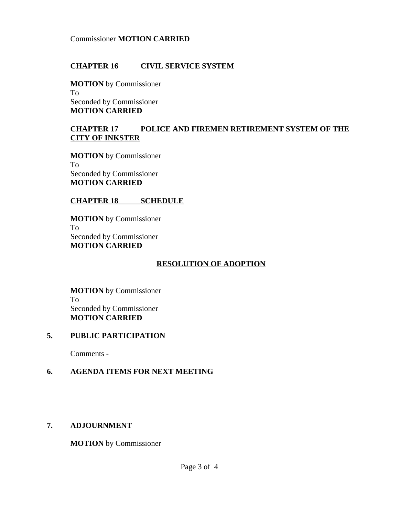#### Commissioner **MOTION CARRIED**

### **CHAPTER 16 CIVIL SERVICE SYSTEM**

**MOTION** by Commissioner To Seconded by Commissioner **MOTION CARRIED**

## **CHAPTER 17 POLICE AND FIREMEN RETIREMENT SYSTEM OF THE CITY OF INKSTER**

**MOTION** by Commissioner To Seconded by Commissioner **MOTION CARRIED**

### **CHAPTER 18 SCHEDULE**

**MOTION** by Commissioner To Seconded by Commissioner **MOTION CARRIED**

# **RESOLUTION OF ADOPTION**

**MOTION** by Commissioner To Seconded by Commissioner **MOTION CARRIED**

#### **5. PUBLIC PARTICIPATION**

Comments -

# **6. AGENDA ITEMS FOR NEXT MEETING**

# **7. ADJOURNMENT**

**MOTION** by Commissioner